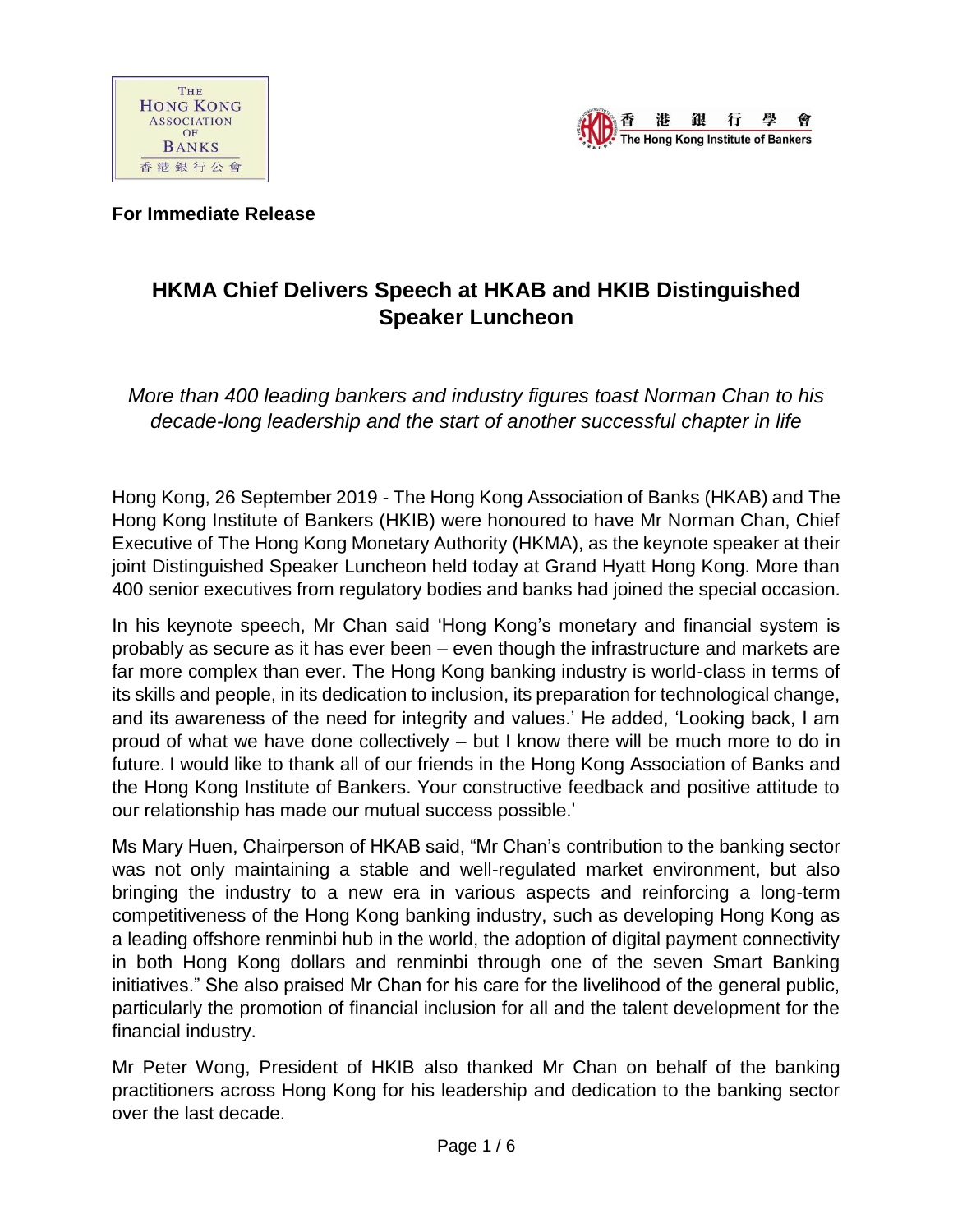



**For Immediate Release** 

# **HKMA Chief Delivers Speech at HKAB and HKIB Distinguished Speaker Luncheon**

*More than 400 leading bankers and industry figures toast Norman Chan to his decade-long leadership and the start of another successful chapter in life*

Hong Kong, 26 September 2019 - The Hong Kong Association of Banks (HKAB) and The Hong Kong Institute of Bankers (HKIB) were honoured to have Mr Norman Chan, Chief Executive of The Hong Kong Monetary Authority (HKMA), as the keynote speaker at their joint Distinguished Speaker Luncheon held today at Grand Hyatt Hong Kong. More than 400 senior executives from regulatory bodies and banks had joined the special occasion.

In his keynote speech, Mr Chan said 'Hong Kong's monetary and financial system is probably as secure as it has ever been – even though the infrastructure and markets are far more complex than ever. The Hong Kong banking industry is world-class in terms of its skills and people, in its dedication to inclusion, its preparation for technological change, and its awareness of the need for integrity and values.' He added, 'Looking back, I am proud of what we have done collectively – but I know there will be much more to do in future. I would like to thank all of our friends in the Hong Kong Association of Banks and the Hong Kong Institute of Bankers. Your constructive feedback and positive attitude to our relationship has made our mutual success possible.'

Ms Mary Huen, Chairperson of HKAB said, "Mr Chan's contribution to the banking sector was not only maintaining a stable and well-regulated market environment, but also bringing the industry to a new era in various aspects and reinforcing a long-term competitiveness of the Hong Kong banking industry, such as developing Hong Kong as a leading offshore renminbi hub in the world, the adoption of digital payment connectivity in both Hong Kong dollars and renminbi through one of the seven Smart Banking initiatives." She also praised Mr Chan for his care for the livelihood of the general public, particularly the promotion of financial inclusion for all and the talent development for the financial industry.

Mr Peter Wong, President of HKIB also thanked Mr Chan on behalf of the banking practitioners across Hong Kong for his leadership and dedication to the banking sector over the last decade.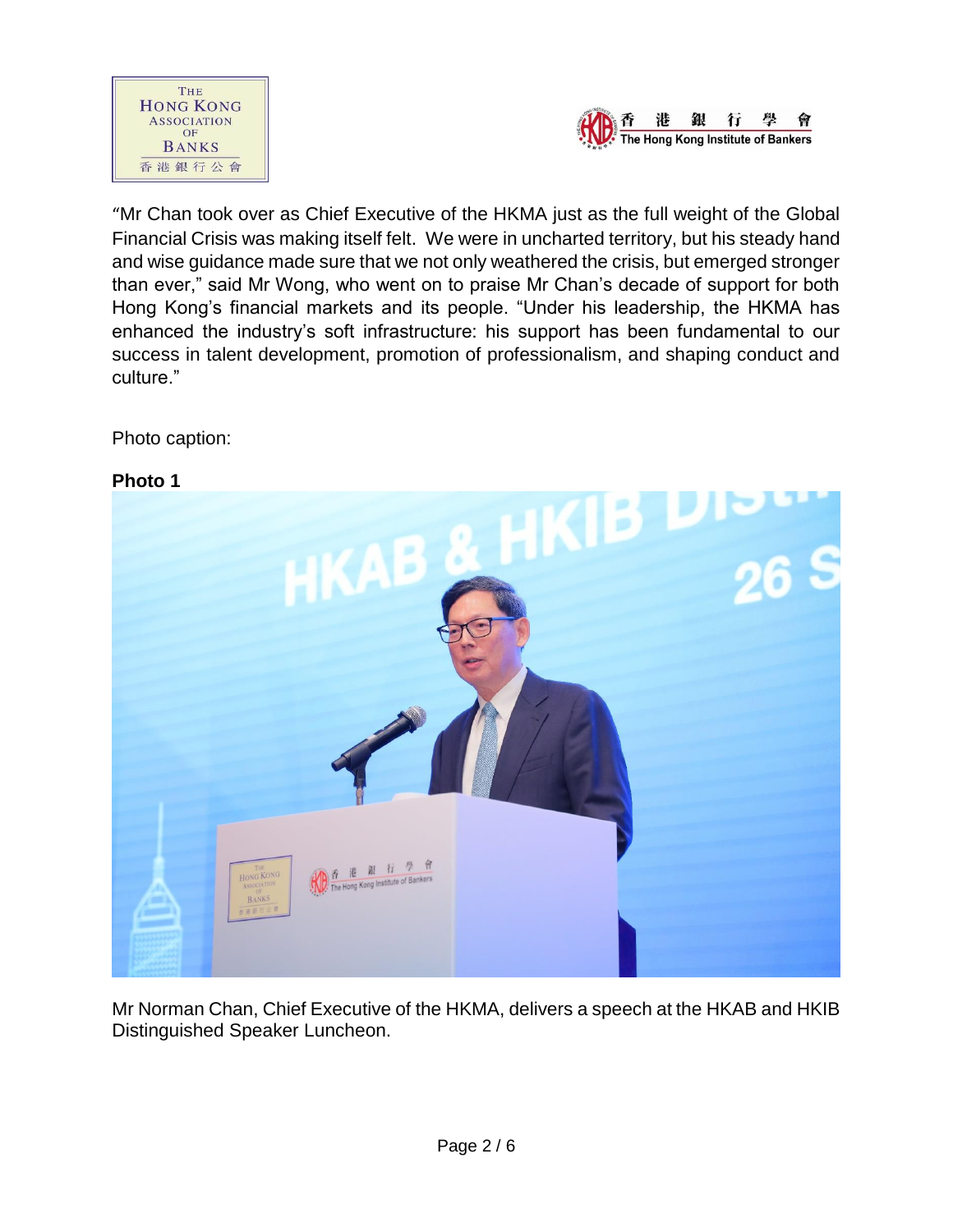



"Mr Chan took over as Chief Executive of the HKMA just as the full weight of the Global Financial Crisis was making itself felt. We were in uncharted territory, but his steady hand and wise guidance made sure that we not only weathered the crisis, but emerged stronger than ever," said Mr Wong, who went on to praise Mr Chan's decade of support for both Hong Kong's financial markets and its people. "Under his leadership, the HKMA has enhanced the industry's soft infrastructure: his support has been fundamental to our success in talent development, promotion of professionalism, and shaping conduct and culture."

## Photo caption:

#### **Photo 1**



Mr Norman Chan, Chief Executive of the HKMA, delivers a speech at the HKAB and HKIB Distinguished Speaker Luncheon.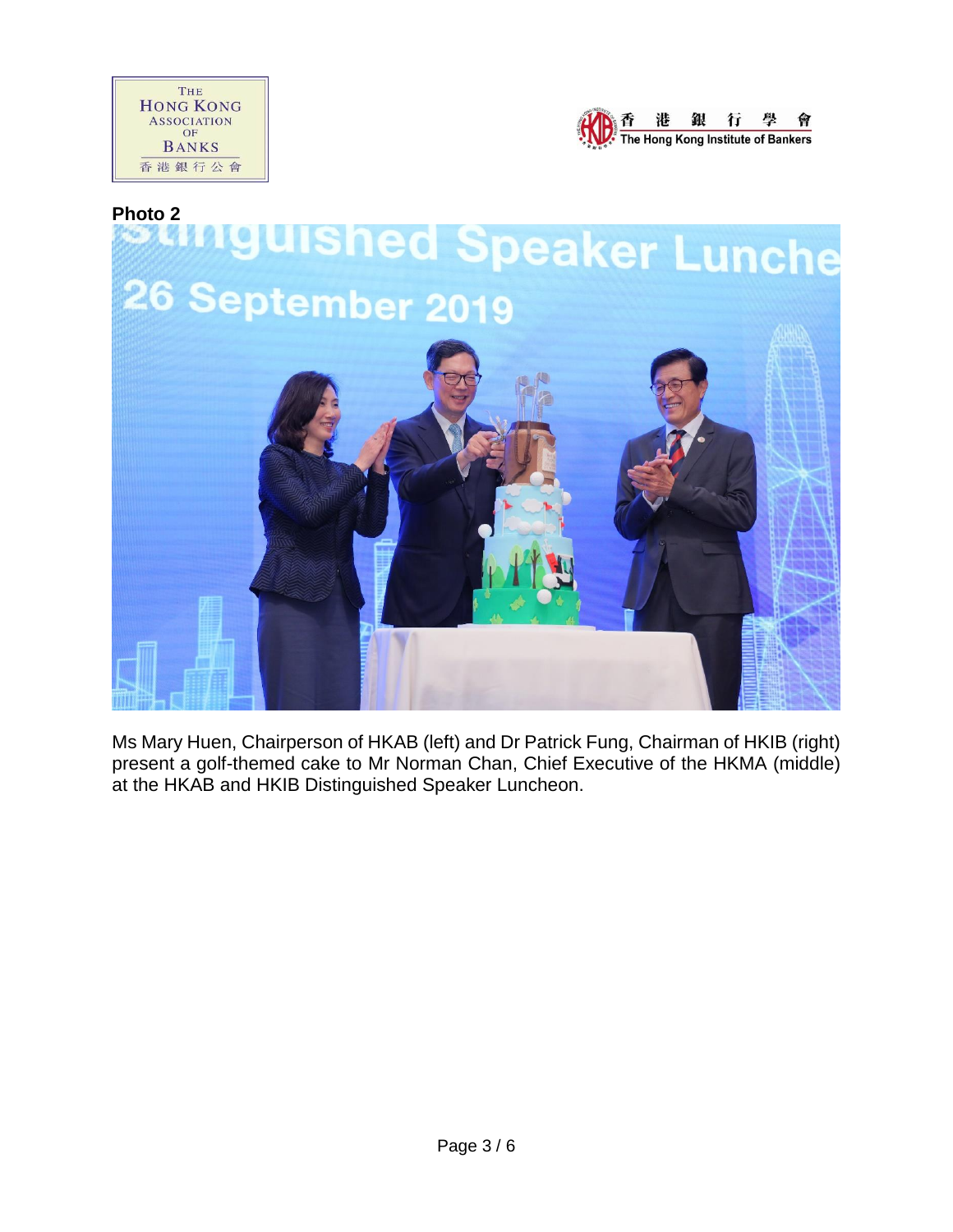





Ms Mary Huen, Chairperson of HKAB (left) and Dr Patrick Fung, Chairman of HKIB (right) present a golf-themed cake to Mr Norman Chan, Chief Executive of the HKMA (middle) at the HKAB and HKIB Distinguished Speaker Luncheon.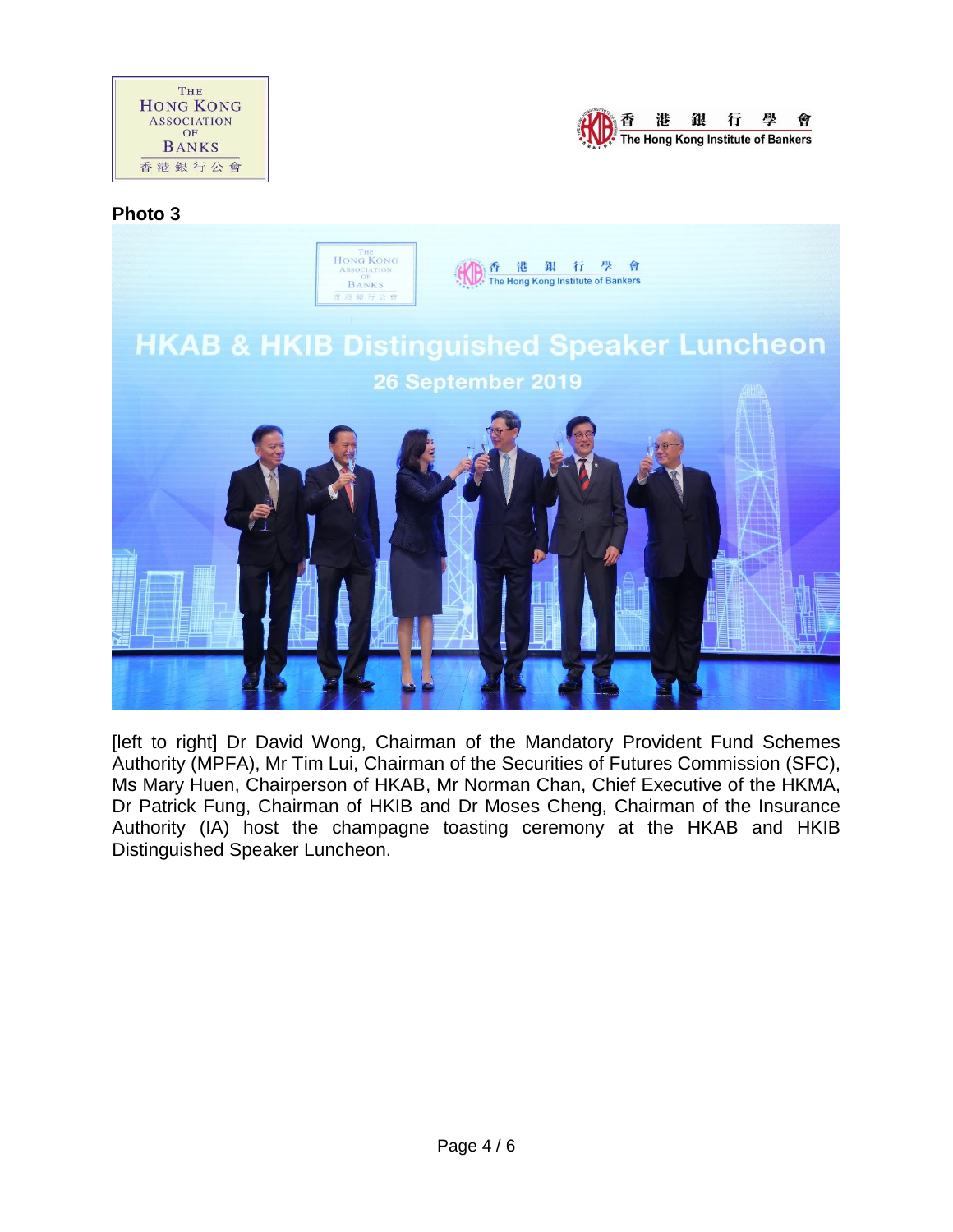



#### **Photo 3**



[left to right] Dr David Wong, Chairman of the Mandatory Provident Fund Schemes Authority (MPFA), Mr Tim Lui, Chairman of the Securities of Futures Commission (SFC), Ms Mary Huen, Chairperson of HKAB, Mr Norman Chan, Chief Executive of the HKMA, Dr Patrick Fung, Chairman of HKIB and Dr Moses Cheng, Chairman of the Insurance Authority (IA) host the champagne toasting ceremony at the HKAB and HKIB Distinguished Speaker Luncheon.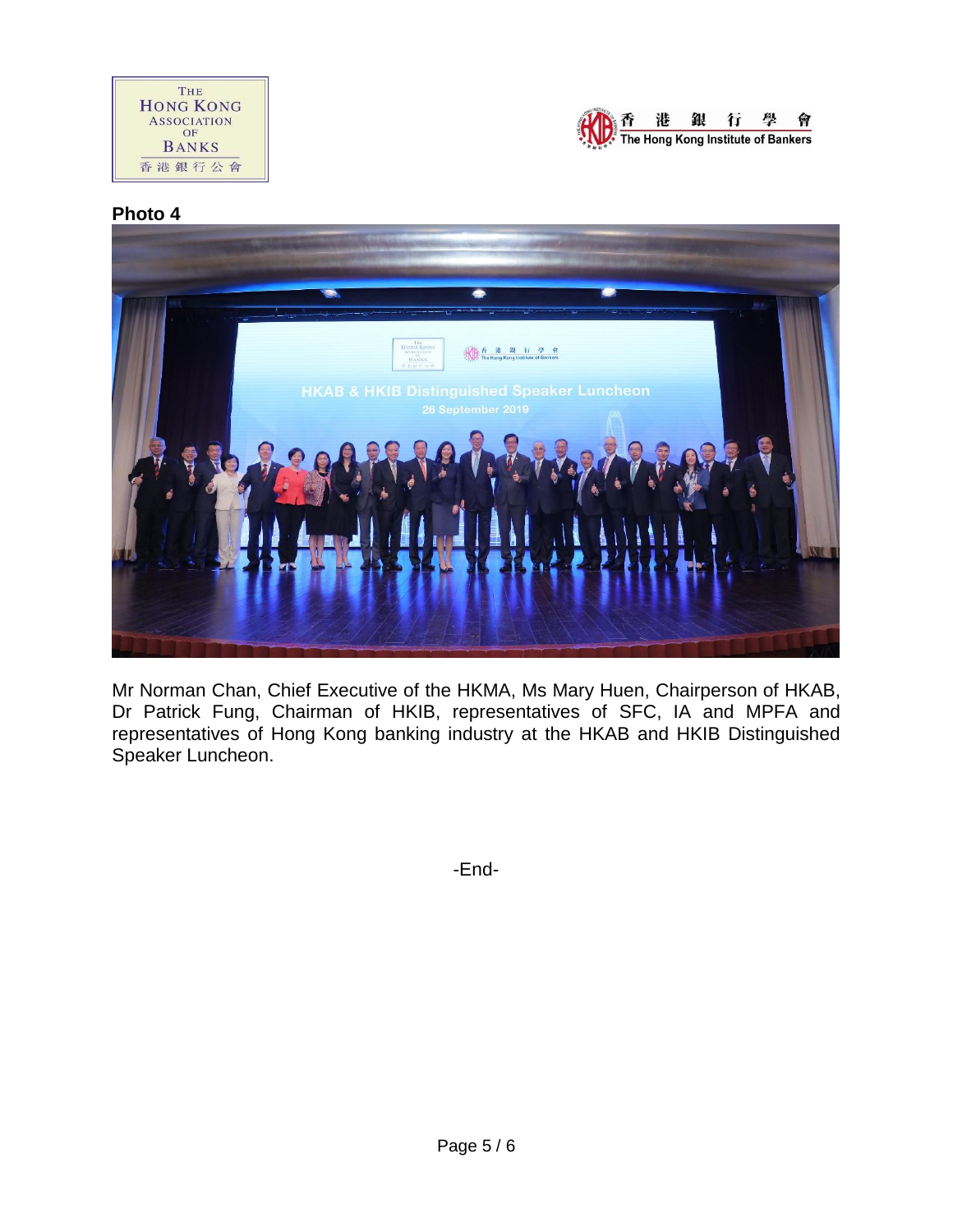



# **Photo 4**



Mr Norman Chan, Chief Executive of the HKMA, Ms Mary Huen, Chairperson of HKAB, Dr Patrick Fung, Chairman of HKIB, representatives of SFC, IA and MPFA and representatives of Hong Kong banking industry at the HKAB and HKIB Distinguished Speaker Luncheon.

-End-